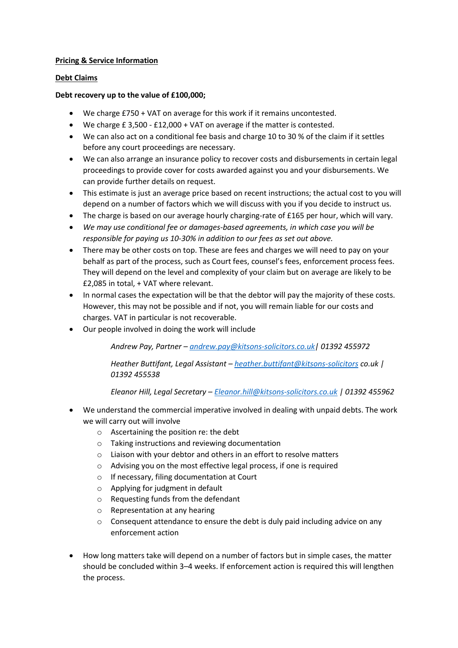# **Pricing & Service Information**

## **Debt Claims**

## **Debt recovery up to the value of £100,000;**

- We charge £750 + VAT on average for this work if it remains uncontested.
- We charge £ 3,500 £12,000 + VAT on average if the matter is contested.
- We can also act on a conditional fee basis and charge 10 to 30 % of the claim if it settles before any court proceedings are necessary.
- We can also arrange an insurance policy to recover costs and disbursements in certain legal proceedings to provide cover for costs awarded against you and your disbursements. We can provide further details on request.
- This estimate is just an average price based on recent instructions; the actual cost to you will depend on a number of factors which we will discuss with you if you decide to instruct us.
- The charge is based on our average hourly charging-rate of £165 per hour, which will vary.
- *We may use conditional fee or damages-based agreements, in which case you will be responsible for paying us 10-30% in addition to our fees as set out above.*
- There may be other costs on top. These are fees and charges we will need to pay on your behalf as part of the process, such as Court fees, counsel's fees, enforcement process fees. They will depend on the level and complexity of your claim but on average are likely to be £2,085 in total, + VAT where relevant.
- In normal cases the expectation will be that the debtor will pay the majority of these costs. However, this may not be possible and if not, you will remain liable for our costs and charges. VAT in particular is not recoverable.
- Our people involved in doing the work will include

*Andrew Pay, Partner – [andrew.pay@kitsons-solicitors.co.uk|](mailto:andrew.pay@kitsons-solicitors.co.uk) 01392 455972*

*Heather Buttifant, Legal Assistant – [heather.buttifant@kitsons-solicitors](mailto:heather.buttifant@kitsons-solicitors) co.uk | 01392 455538*

*Eleanor Hill, Legal Secretary – [Eleanor.hill@kitsons-solicitors.co.uk](mailto:Eleanor.hill@kitsons-solicitors.co.uk) | 01392 455962*

- We understand the commercial imperative involved in dealing with unpaid debts. The work we will carry out will involve
	- o Ascertaining the position re: the debt
	- o Taking instructions and reviewing documentation
	- o Liaison with your debtor and others in an effort to resolve matters
	- o Advising you on the most effective legal process, if one is required
	- o If necessary, filing documentation at Court
	- o Applying for judgment in default
	- o Requesting funds from the defendant
	- o Representation at any hearing
	- o Consequent attendance to ensure the debt is duly paid including advice on any enforcement action
- How long matters take will depend on a number of factors but in simple cases, the matter should be concluded within 3–4 weeks. If enforcement action is required this will lengthen the process.